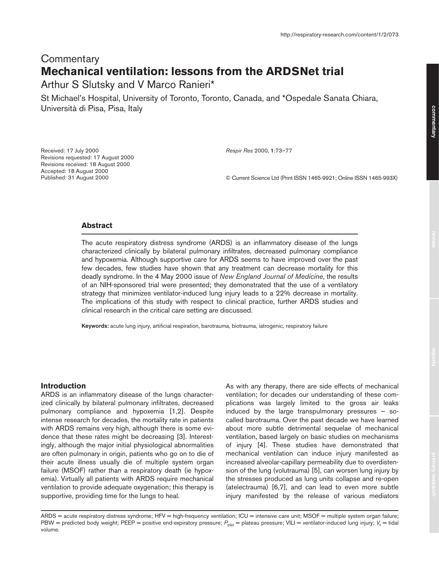# **Commentary Mechanical ventilation: lessons from the ARDSNet trial**

Arthur S Slutsky and V Marco Ranieri\*

St Michael's Hospital, University of Toronto, Toronto, Canada, and \*Ospedale Sanata Chiara, Università di Pisa, Pisa, Italy

Received: 17 July 2000 Revisions requested: 17 August 2000 Revisions received: 18 August 2000 Accepted: 18 August 2000 Published: 31 August 2000

*Respir Res* 2000, **1**:73–77

© Current Science Ltd (Print ISSN 1465-9921; Online ISSN 1465-993X)

# **Abstract**

The acute respiratory distress syndrome (ARDS) is an inflammatory disease of the lungs characterized clinically by bilateral pulmonary infiltrates, decreased pulmonary compliance and hypoxemia. Although supportive care for ARDS seems to have improved over the past few decades, few studies have shown that any treatment can decrease mortality for this deadly syndrome. In the 4 May 2000 issue of *New England Journal of Medicine*, the results of an NIH-sponsored trial were presented; they demonstrated that the use of a ventilatory strategy that minimizes ventilator-induced lung injury leads to a 22% decrease in mortality. The implications of this study with respect to clinical practice, further ARDS studies and clinical research in the critical care setting are discussed.

**Keywords:** acute lung injury, artificial respiration, barotrauma, biotrauma, iatrogenic, respiratory failure

# **Introduction**

ARDS is an inflammatory disease of the lungs characterized clinically by bilateral pulmonary infiltrates, decreased pulmonary compliance and hypoxemia [1,2]. Despite intense research for decades, the mortality rate in patients with ARDS remains very high, although there is some evidence that these rates might be decreasing [3]. Interestingly, although the major initial physiological abnormalities are often pulmonary in origin, patients who go on to die of their acute illness usually die of multiple system organ failure (MSOF) rather than a respiratory death (ie hypoxemia). Virtually all patients with ARDS require mechanical ventilation to provide adequate oxygenation; this therapy is supportive, providing time for the lungs to heal.

As with any therapy, there are side effects of mechanical ventilation; for decades our understanding of these complications was largely limited to the gross air leaks induced by the large transpulmonary pressures — socalled barotrauma. Over the past decade we have learned about more subtle detrimental sequelae of mechanical ventilation, based largely on basic studies on mechanisms of injury [4]. These studies have demonstrated that mechanical ventilation can induce injury manifested as increased alveolar-capillary permeability due to overdistension of the lung (volutrauma) [5], can worsen lung injury by the stresses produced as lung units collapse and re-open (atelectrauma) [6,7], and can lead to even more subtle injury manifested by the release of various mediators

ARDS = acute respiratory distress syndrome; HFV = high-frequency ventilation; ICU = intensive care unit; MSOF = multiple system organ failure; PBW = predicted body weight; PEEP = positive end-expiratory pressure;  $P_{\text{old}}$  = plateau pressure; VILI = ventilator-induced lung injury;  $V_t$  = tidal volume.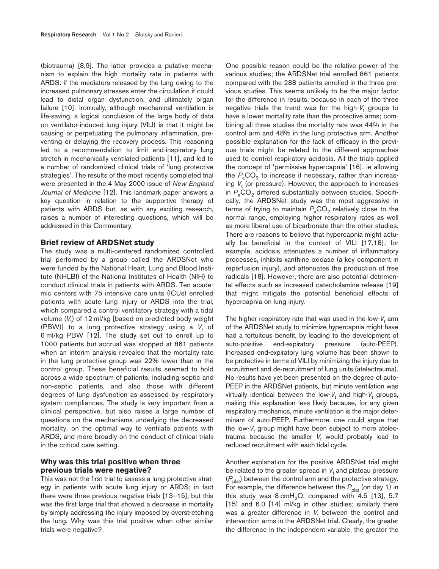(biotrauma) [8,9]. The latter provides a putative mechanism to explain the high mortality rate in patients with ARDS: if the mediators released by the lung owing to the increased pulmonary stresses enter the circulation it could lead to distal organ dysfunction, and ultimately organ failure [10]. Ironically, although mechanical ventilation is life-saving, a logical conclusion of the large body of data on ventilator-induced lung injury (VILI) is that it might be causing or perpetuating the pulmonary inflammation, preventing or delaying the recovery process. This reasoning led to a recommendation to limit end-inspiratory lung stretch in mechanically ventilated patients [11], and led to a number of randomized clinical trials of 'lung protective strategies'. The results of the most recently completed trial were presented in the 4 May 2000 issue of *New England Journal of Medicine* [12]. This landmark paper answers a key question in relation to the supportive therapy of patients with ARDS but, as with any exciting research, raises a number of interesting questions, which will be addressed in this Commentary.

#### **Brief review of ARDSNet study**

The study was a multi-centered randomized controlled trial performed by a group called the ARDSNet who were funded by the National Heart, Lung and Blood Institute (NHLBI) of the National Institutes of Health (NIH) to conduct clinical trials in patients with ARDS. Ten academic centers with 75 intensive care units (ICUs) enrolled patients with acute lung injury or ARDS into the trial, which compared a control ventilatory strategy with a tidal volume (V<sub>t</sub>) of 12 ml/kg [based on predicted body weight (PBW)] to a lung protective strategy using a  $V_t$  of 6 ml/kg PBW [12]. The study set out to enroll up to 1000 patients but accrual was stopped at 861 patients when an interim analysis revealed that the mortality rate in the lung protective group was 22% lower than in the control group. These beneficial results seemed to hold across a wide spectrum of patients, including septic and non-septic patients, and also those with different degrees of lung dysfunction as assessed by respiratory system compliances. The study is very important from a clinical perspective, but also raises a large number of questions on the mechanisms underlying the decreased mortality, on the optimal way to ventilate patients with ARDS, and more broadly on the conduct of clinical trials in the critical care setting.

# **Why was this trial positive when three previous trials were negative?**

This was not the first trial to assess a lung protective strategy in patients with acute lung injury or ARDS; in fact there were three previous negative trials [13–15], but this was the first large trial that showed a decrease in mortality by simply addressing the injury imposed by overstretching the lung. Why was this trial positive when other similar trials were negative?

One possible reason could be the relative power of the various studies; the ARDSNet trial enrolled 861 patients compared with the 288 patients enrolled in the three previous studies. This seems unlikely to be the major factor for the difference in results, because in each of the three negative trials the trend was for the high-*V<sub>t</sub>* groups to have a lower mortality rate than the protective arms; combining all three studies the mortality rate was 44% in the control arm and 48% in the lung protective arm. Another possible explanation for the lack of efficacy in the previous trials might be related to the different approaches used to control respiratory acidosis. All the trials applied the concept of 'permissive hypercapnia' [16], ie allowing the  $P_{a}CO_{2}$  to increase if necessary, rather than increasing  $V_t$  (or pressure). However, the approach to increases in  $P_{\rm a}$ CO<sub>2</sub> differed substantially between studies. Specifically, the ARDSNet study was the most aggressive in terms of trying to maintain  $P_{a}CO_{2}$  relatively close to the normal range, employing higher respiratory rates as well as more liberal use of bicarbonate than the other studies. There are reasons to believe that hypercapnia might actually be beneficial in the context of VILI [17,18]; for example, acidosis attenuates a number of inflammatory processes, inhibits xanthine oxidase (a key component in reperfusion injury), and attenuates the production of free radicals [18]. However, there are also potential detrimental effects such as increased catecholamine release [19] that might mitigate the potential beneficial effects of hypercapnia on lung injury.

The higher respiratory rate that was used in the low- $V<sub>t</sub>$  arm of the ARDSNet study to minimize hypercapnia might have had a fortuitous benefit, by leading to the development of auto-positive end-expiratory pressure (auto-PEEP). Increased end-expiratory lung volume has been shown to be protective in terms of VILI by minimizing the injury due to recruitment and de-recruitment of lung units (atelectrauma). No results have yet been presented on the degree of auto-PEEP in the ARDSNet patients, but minute ventilation was virtually identical between the low- $V_t$  and high- $V_t$  groups, making this explanation less likely because, for any given respiratory mechanics, minute ventilation is the major determinant of auto-PEEP. Furthermore, one could argue that the low-V<sub>t</sub> group might have been subject to more atelectrauma because the smaller  $V_t$  would probably lead to reduced recruitment with each tidal cycle.

Another explanation for the positive ARDSNet trial might be related to the greater spread in  $V_t$  and plateau pressure  $(P_{\text{plat}})$  between the control arm and the protective strategy. For example, the difference between the  $P_{\text{plat}}$  (on day 1) in this study was  $8 \text{ cm}H<sub>2</sub>O$ , compared with 4.5 [13], 5.7 [15] and 6.0 [14] ml/kg in other studies; similarly there was a greater difference in  $V_t$  between the control and intervention arms in the ARDSNet trial. Clearly, the greater the difference in the independent variable, the greater the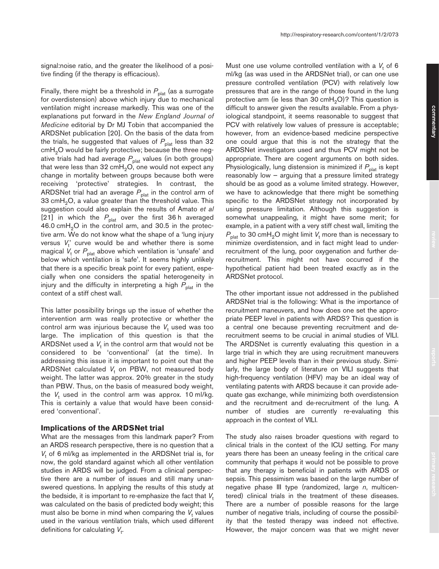signal:noise ratio, and the greater the likelihood of a positive finding (if the therapy is efficacious).

Finally, there might be a threshold in  $P_{\text{plat}}$  (as a surrogate for overdistension) above which injury due to mechanical ventilation might increase markedly. This was one of the explanations put forward in the *New England Journal of Medicine* editorial by Dr MJ Tobin that accompanied the ARDSNet publication [20]. On the basis of the data from the trials, he suggested that values of  $P_{\text{plat}}$  less than 32  $cmH<sub>2</sub>O$  would be fairly protective; because the three negative trials had had average P<sub>plat</sub> values (in both groups) that were less than 32 cm $H<sub>2</sub>O$ , one would not expect any change in mortality between groups because both were receiving 'protective' strategies. In contrast, the ARDSNet trial had an average  $P_{\text{plat}}$  in the control arm of 33 cm $H<sub>2</sub>O$ , a value greater than the threshold value. This suggestion could also explain the results of Amato *et al* [21] in which the  $P_{\text{plat}}$  over the first 36 h averaged 46.0 cmH<sub>2</sub>O in the control arm, and 30.5 in the protective arm. We do not know what the shape of a 'lung injury versus  $V_t$ ' curve would be and whether there is some magical  $V_t$  or  $P_{\text{plat}}$  above which ventilation is 'unsafe' and below which ventilation is 'safe'. It seems highly unlikely that there is a specific break point for every patient, especially when one considers the spatial heterogeneity in injury and the difficulty in interpreting a high  $P_{\text{plat}}$  in the context of a stiff chest wall.

This latter possibility brings up the issue of whether the intervention arm was really protective or whether the control arm was injurious because the *V*<sub>t</sub> used was too large. The implication of this question is that the ARDSNet used a  $V_t$  in the control arm that would not be considered to be 'conventional' (at the time). In addressing this issue it is important to point out that the ARDSNet calculated  $V<sub>t</sub>$  on PBW, not measured body weight. The latter was approx. 20% greater in the study than PBW. Thus, on the basis of measured body weight, the  $V_t$  used in the control arm was approx. 10 ml/kg. This is certainly a value that would have been considered 'conventional'.

#### **Implications of the ARDSNet trial**

What are the messages from this landmark paper? From an ARDS research perspective, there is no question that a *V*<sub>t</sub> of 6 ml/kg as implemented in the ARDSNet trial is, for now, the gold standard against which all other ventilation studies in ARDS will be judged. From a clinical perspective there are a number of issues and still many unanswered questions. In applying the results of this study at the bedside, it is important to re-emphasize the fact that  $V_t$ was calculated on the basis of predicted body weight; this must also be borne in mind when comparing the  $V_t$  values used in the various ventilation trials, which used different definitions for calculating  $V_t$ .

Must one use volume controlled ventilation with a V<sub>t</sub> of 6 ml/kg (as was used in the ARDSNet trial), or can one use pressure controlled ventilation (PCV) with relatively low pressures that are in the range of those found in the lung protective arm (ie less than 30 cmH<sub>2</sub>O)? This question is difficult to answer given the results available. From a physiological standpoint, it seems reasonable to suggest that PCV with relatively low values of pressure is acceptable; however, from an evidence-based medicine perspective one could argue that this is not the strategy that the ARDSNet investigators used and thus PCV might not be appropriate. There are cogent arguments on both sides. Physiologically, lung distension is minimized if  $P_{\text{plat}}$  is kept reasonably low — arguing that a pressure limited strategy should be as good as a volume limited strategy. However, we have to acknowledge that there might be something specific to the ARDSNet strategy not incorporated by using pressure limitation. Although this suggestion is somewhat unappealing, it might have some merit; for example, in a patient with a very stiff chest wall, limiting the  $P_{\text{plat}}$  to 30 cmH<sub>2</sub>O might limit  $V_t$  more than is necessary to minimize overdistension, and in fact might lead to underrecruitment of the lung, poor oxygenation and further derecruitment. This might not have occurred if the hypothetical patient had been treated exactly as in the ARDSNet protocol.

The other important issue not addressed in the published ARDSNet trial is the following: What is the importance of recruitment maneuvers, and how does one set the appropriate PEEP level in patients with ARDS? This question is a central one because preventing recruitment and derecruitment seems to be crucial in animal studies of VILI. The ARDSNet is currently evaluating this question in a large trial in which they are using recruitment maneuvers and higher PEEP levels than in their previous study. Similarly, the large body of literature on VILI suggests that high-frequency ventilation (HFV) may be an ideal way of ventilating patents with ARDS because it can provide adequate gas exchange, while minimizing both overdistension and the recruitment and de-recruitment of the lung. A number of studies are currently re-evaluating this approach in the context of VILI.

The study also raises broader questions with regard to clinical trials in the context of the ICU setting. For many years there has been an uneasy feeling in the critical care community that perhaps it would not be possible to prove that any therapy is beneficial in patients with ARDS or sepsis. This pessimism was based on the large number of negative phase III type (randomized, large *n*, multicentered) clinical trials in the treatment of these diseases. There are a number of possible reasons for the large number of negative trials, including of course the possibility that the tested therapy was indeed not effective. However, the major concern was that we might never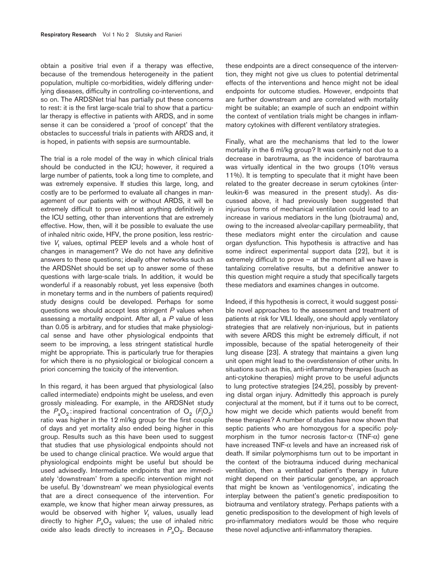obtain a positive trial even if a therapy was effective, because of the tremendous heterogeneity in the patient population, multiple co-morbidities, widely differing underlying diseases, difficulty in controlling co-interventions, and so on. The ARDSNet trial has partially put these concerns to rest: it is the first large-scale trial to show that a particular therapy is effective in patients with ARDS, and in some sense it can be considered a 'proof of concept' that the obstacles to successful trials in patients with ARDS and, it is hoped, in patients with sepsis are surmountable.

The trial is a role model of the way in which clinical trials should be conducted in the ICU; however, it required a large number of patients, took a long time to complete, and was extremely expensive. If studies this large, long, and costly are to be performed to evaluate all changes in management of our patients with or without ARDS, it will be extremely difficult to prove almost anything definitively in the ICU setting, other than interventions that are extremely effective. How, then, will it be possible to evaluate the use of inhaled nitric oxide, HFV, the prone position, less restrictive  $V_t$  values, optimal PEEP levels and a whole host of changes in management? We do not have any definitive answers to these questions; ideally other networks such as the ARDSNet should be set up to answer some of these questions with large-scale trials. In addition, it would be wonderful if a reasonably robust, yet less expensive (both in monetary terms and in the numbers of patients required) study designs could be developed. Perhaps for some questions we should accept less stringent *P* values when assessing a mortality endpoint. After all, a *P* value of less than 0.05 is arbitrary, and for studies that make physiological sense and have other physiological endpoints that seem to be improving, a less stringent statistical hurdle might be appropriate. This is particularly true for therapies for which there is no physiological or biological concern a priori concerning the toxicity of the intervention.

In this regard, it has been argued that physiological (also called intermediate) endpoints might be useless, and even grossly misleading. For example, in the ARDSNet study the  $P_a$ O<sub>2</sub>: inspired fractional concentration of O<sub>2</sub> ( $F_1$ O<sub>2</sub>) ratio was higher in the 12 ml/kg group for the first couple of days and yet mortality also ended being higher in this group. Results such as this have been used to suggest that studies that use physiological endpoints should not be used to change clinical practice. We would argue that physiological endpoints might be useful but should be used advisedly. Intermediate endpoints that are immediately 'downstream' from a specific intervention might not be useful. By 'downstream' we mean physiological events that are a direct consequence of the intervention. For example, we know that higher mean airway pressures, as would be observed with higher V<sub>t</sub> values, usually lead directly to higher  $P_{a}O_{2}$  values; the use of inhaled nitric oxide also leads directly to increases in P<sub>a</sub>O<sub>2</sub>. Because

these endpoints are a direct consequence of the intervention, they might not give us clues to potential detrimental effects of the interventions and hence might not be ideal endpoints for outcome studies. However, endpoints that are further downstream and are correlated with mortality might be suitable; an example of such an endpoint within the context of ventilation trials might be changes in inflammatory cytokines with different ventilatory strategies.

Finally, what are the mechanisms that led to the lower mortality in the 6 ml/kg group? It was certainly not due to a decrease in barotrauma, as the incidence of barotrauma was virtually identical in the two groups (10% versus 11%). It is tempting to speculate that it might have been related to the greater decrease in serum cytokines (interleukin-6 was measured in the present study). As discussed above, it had previously been suggested that injurious forms of mechanical ventilation could lead to an increase in various mediators in the lung (biotrauma) and, owing to the increased alveolar-capillary permeability, that these mediators might enter the circulation and cause organ dysfunction. This hypothesis is attractive and has some indirect experimental support data [22], but it is extremely difficult to prove  $-$  at the moment all we have is tantalizing correlative results, but a definitive answer to this question might require a study that specifically targets these mediators and examines changes in outcome.

Indeed, if this hypothesis is correct, it would suggest possible novel approaches to the assessment and treatment of patients at risk for VILI. Ideally, one should apply ventilatory strategies that are relatively non-injurious, but in patients with severe ARDS this might be extremely difficult, if not impossible, because of the spatial heterogeneity of their lung disease [23]. A strategy that maintains a given lung unit open might lead to the overdistension of other units. In situations such as this, anti-inflammatory therapies (such as anti-cytokine therapies) might prove to be useful adjuncts to lung protective strategies [24,25], possibly by preventing distal organ injury. Admittedly this approach is purely conjectural at the moment, but if it turns out to be correct, how might we decide which patients would benefit from these therapies? A number of studies have now shown that septic patients who are homozygous for a specific polymorphism in the tumor necrosis factor- $\alpha$  (TNF- $\alpha$ ) gene have increased TNF- $\alpha$  levels and have an increased risk of death. If similar polymorphisms turn out to be important in the context of the biotrauma induced during mechanical ventilation, then a ventilated patient's therapy in future might depend on their particular genotype, an approach that might be known as 'ventilogenomics', indicating the interplay between the patient's genetic predisposition to biotrauma and ventilatory strategy. Perhaps patients with a genetic predisposition to the development of high levels of pro-inflammatory mediators would be those who require these novel adjunctive anti-inflammatory therapies.